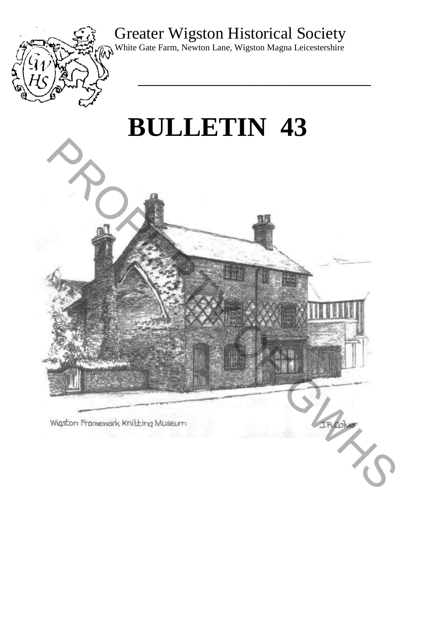# Greater Wigston Historical Society

**\_\_\_\_\_\_\_\_\_\_\_\_\_\_\_\_\_\_\_\_\_\_\_\_\_\_\_\_\_\_\_\_\_\_\_\_\_\_\_** 



White Gate Farm, Newton Lane, Wigston Magna Leicestershire

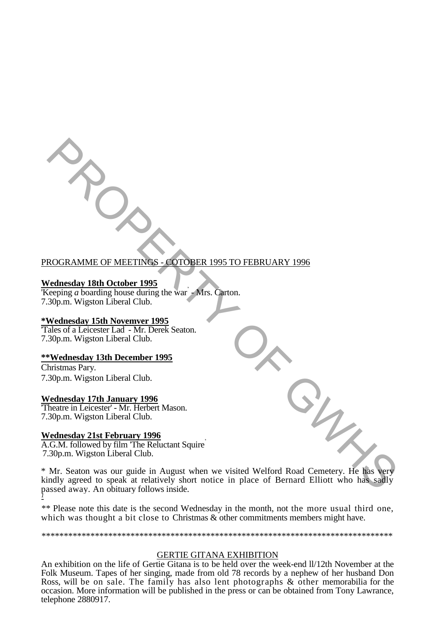## PROGRAMME OF MEETINGS - COTOBER 1995 TO FEBRUARY 1996

#### **Wednesday 18th October 1995**

Keeping *a* boarding house during the war' - Mrs. Carton. 7.30p.m. Wigston Liberal Club.

#### **\*Wednesday 15th Novemver 1995**

'Tales of a Leicester Lad' - Mr. Derek Seaton. 7.30p.m. Wigston Liberal Club.

#### **\*\*Wednesday 13th December 1995**

Christmas Pary. 7.30p.m. Wigston Liberal Club.

#### **Wednesday 17th January 1996**

'Theatre in Leicester' - Mr. Herbert Mason. 7.30p.m. Wigston Liberal Club.

## **Wednesday 21st February 1996**

A.G.M. followed by film 'The Reluctant Squire' 7.30p.m. Wigston Liberal Club.

\* Mr. Seaton was our guide in August when we visited Welford Road Cemetery. He has very kindly agreed to speak at relatively short notice in place of Bernard Elliott who has sadly passed away. An obituary follows inside. *- 1* ROGRAMME OF MEETINGS . COTOBER 1995 TO FEBRUARY 1996<br>
Vednesday 18th October 1995<br>
Sceptige a bouting house during the war Mrs. Curton.<br>
30p.m. Wigston Liberal Club.<br>
Wednesday 13th November 1995<br>
and Scotia. The Wednesday

*\*\** Please note this date is the second Wednesday in the month, not the more usual third one, which was thought a bit close to Christmas & other commitments members might have.

*\*\*\*\*\*\*\*\*\*\*\*\*\*\*\*\*\*\*\*\*\*\*\*\*\*\*\*\*\*\*\*\*\*\*\*\*\*\*\*\*\*\*\*\*\*\*\*\*\*\*\*\*\*\*\*\*\*\*\*\*\*\*\*\*\*\*\*\*\*\*\*\*\*\*\*\*\*\*\**

## GERTIE GITANA EXHIBITION

An exhibition on the life of Gertie Gitana is to be held over the week-end ll/12th November at the Folk Museum. Tapes of her singing, made from old 78 records by a nephew of her husband Don Ross, will be on sale. The family has also lent photographs & other memorabilia for the occasion. More information will be published in the press or can be obtained from Tony Lawrance, telephone 2880917.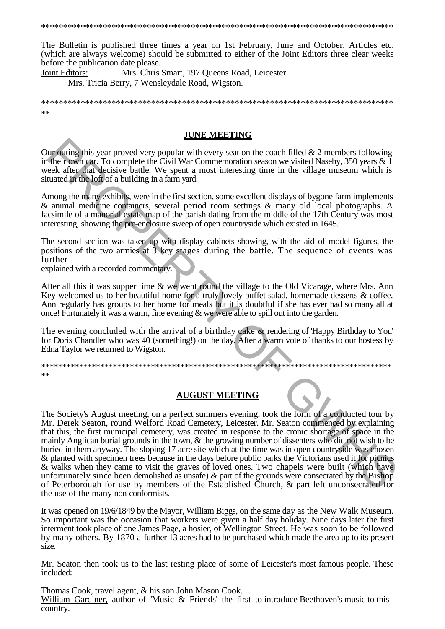The Bulletin is published three times a year on 1st February, June and October. Articles etc. (which are always welcome) should be submitted to either of the Joint Editors three clear weeks before the publication date please.

Joint Editors: Mrs. Chris Smart, 197 Queens Road, Leicester.

Mrs. Tricia Berry, 7 Wensleydale Road, Wigston.

 $**$ 

#### **JUNE MEETING**

Our outing this year proved very popular with every seat on the coach filled  $& 2$  members following in their own car. To complete the Civil War Commemoration season we visited Naseby, 350 years  $\& \bar{1}$ week after that decisive battle. We spent a most interesting time in the village museum which is situated in the loft of a building in a farm yard.

Among the many exhibits, were in the first section, some excellent displays of bygone farm implements & animal medicine containers, several period room settings & many old local photographs. A facsimile of a manorial estate map of the parish dating from the middle of the 17th Century was most interesting, showing the pre-enclosure sweep of open countryside which existed in 1645.

The second section was taken up with display cabinets showing, with the aid of model figures, the positions of the two armies at 3 key stages during the battle. The sequence of events was further

explained with a recorded commentary.

After all this it was supper time  $\&$  we went round the village to the Old Vicarage, where Mrs. Ann Key welcomed us to her beautiful home for a truly lovely buffet salad, homemade desserts & coffee. Ann regularly has groups to her home for meals but it is doubtful if she has ever had so many all at once! Fortunately it was a warm, fine evening & we were able to spill out into the garden.

The evening concluded with the arrival of a birthday cake & rendering of Happy Birthday to You' for Doris Chandler who was 40 (something!) on the day. After a warm vote of thanks to our hostess by Edna Taylor we returned to Wigston.

 $**$ 

## **AUGUST MEETING**

The Society's August meeting, on a perfect summers evening, took the form of a conducted tour by Mr. Derek Seaton, round Welford Road Cemetery, Leicester. Mr. Seaton commenced by explaining that this, the first municipal cemetery, was created in response to the cronic shortage of space in the mainly Anglican burial grounds in the town, & the growing number of dissenters who did not wish to be buried in them anyway. The sloping 17 acre site which at the time was in open countryside was chosen & planted with specimen trees because in the days before public parks the Victorians used it for picnics & walks when they came to visit the graves of loved ones. Two chapels were built (which have) unfortunately since been demolished as unsafe) & part of the grounds were consecrated by the Bishop of Peterborough for use by members of the Established Church, & part left unconsecrated for the use of the many non-conformists.

It was opened on 19/6/1849 by the Mayor, William Biggs, on the same day as the New Walk Museum. So important was the occasion that workers were given a half day holiday. Nine days later the first interment took place of one James Page, a hosier, of Wellington Street. He was soon to be followed by many others. By 1870 a further 13 acres had to be purchased which made the area up to its present size.

Mr. Seaton then took us to the last resting place of some of Leicester's most famous people. These included:

Thomas Cook, travel agent, & his son John Mason Cook. William Gardiner, author of 'Music & Friends' the first to introduce Beethoven's music to this country.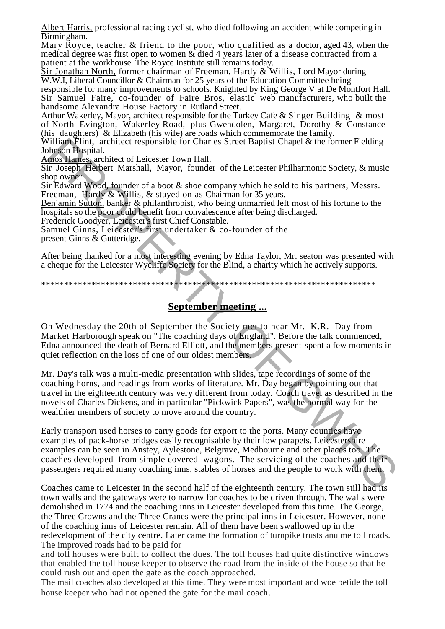Albert Harris, professional racing cyclist, who died following an accident while competing in Birmingham.

Mary Royce, teacher & friend to the poor, who qualified as a doctor, aged 43, when the medical degree was first open to women & died 4 years later of a disease contracted from a patient at the workhouse. The Royce Institute still remains today.

Sir Jonathan North, former chairman of Freeman, Hardy & Willis, Lord Mayor during W.W.I, Liberal Councillor & Chairman for 25 years of the Education Committee being

responsible for many improvements to schools. Knighted by King George V at De Montfort Hall. Sir Samuel Faire, co-founder of Faire Bros, elastic web manufacturers, who built the handsome Alexandra House Factory in Rutland Street.

Arthur Wakerley, Mayor, architect responsible for the Turkey Cafe & Singer Building & most of North Evington, Wakerley Road, plus Gwendolen, Margaret, Dorothy & Constance (his daughters)  $\&$  Elizabeth (his wife) are roads which commemorate the family.

William Flint, architect responsible for Charles Street Baptist Chapel & the former Fielding Johnson Hospital.

Amos Hames, architect of Leicester Town Hall.

Sir Joseph Herbert Marshall, Mayor, founder of the Leicester Philharmonic Society, & music shop owner.

Sir Edward Wood, founder of a boot & shoe company which he sold to his partners, Messrs. Freeman, Hardy & Willis, & staved on as Chairman for 35 years.

Benjamin Sutton, banker & philanthropist, who being unmarried left most of his fortune to the hospitals so the poor could benefit from convalescence after being discharged.

Frederick Goodyer, Leicester's first Chief Constable.

Samuel Ginns, Leicester's first undertaker & co-founder of the present Ginns & Gutteridge.

After being thanked for a most interesting evening by Edna Taylor, Mr. seaton was presented with a cheque for the Leicester Wycliffe Society for the Blind, a charity which he actively supports.

\*\*\*\*\*\*\*\*\*\*\*\*\*\*\*\*\*\*\*\*\*\*\*\*\*\*\*\*\*\*\*\*\*\*\*\*\*\*\*\*\*\*\*\*\*\*\*\*\*\*\*\*\*\*\*\*\*\*\*\*\*\*\*\*\*\*\*\*\*\*\*\*\*

## **September meeting ...**

On Wednesday the 20th of September the Society met to hear Mr. K.R. Day from Market Harborough speak on "The coaching days of England". Before the talk commenced, Edna announced the death of Bernard Elliott, and the members present spent a few moments in quiet reflection on the loss of one of our oldest members.

Mr. Day's talk was a multi-media presentation with slides, tape recordings of some of the coaching horns, and readings from works of literature. Mr. Day began by pointing out that travel in the eighteenth century was very different from today. Coach travel as described in the novels of Charles Dickens, and in particular "Pickwick Papers", was the normal way for the wealthier members of society to move around the country. (illigral Flint, architect responsible for Charles Street Baptist Chapel & the former Fielding<br>
diname Regional response the comparison of the Leicester Philharmonic Society, & music<br>
<u>mesopher Meropert Corrector</u> Town Ha

Early transport used horses to carry goods for export to the ports. Many counties have examples of pack-horse bridges easily recognisable by their low parapets. Leicestershire examples can be seen in Anstey, Aylestone, Belgrave, Medbourne and other places too. The coaches developed from simple covered wagons. The servicing of the coaches and their passengers required many coaching inns, stables of horses and the people to work with them.

Coaches came to Leicester in the second half of the eighteenth century. The town still had its town walls and the gateways were to narrow for coaches to be driven through. The walls were demolished in 1774 and the coaching inns in Leicester developed from this time. The George, the Three Crowns and the Three Cranes were the principal inns in Leicester. However, none of the coaching inns of Leicester remain. All of them have been swallowed up in the redevelopment of the city centre. Later came the formation of turnpike trusts anu me toll roads. The improved roads had to be paid for

and toll houses were built to collect the dues. The toll houses had quite distinctive windows that enabled the toll house keeper to observe the road from the inside of the house so that he could rush out and open the gate as the coach approached.

The mail coaches also developed at this time. They were most important and woe betide the toll house keeper who had not opened the gate for the mail coach.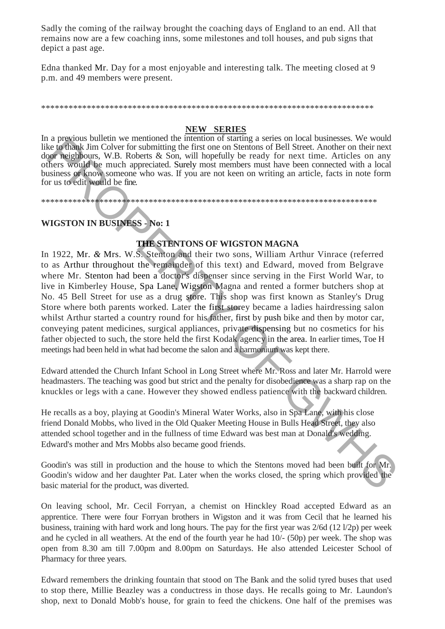Sadly the coming of the railway brought the coaching days of England to an end. All that remains now are a few coaching inns, some milestones and toll houses, and pub signs that depict a past age.

Edna thanked Mr. Day for a most enjoyable and interesting talk. The meeting closed at 9 p.m. and 49 members were present.

#### **NEW SERIES**

In a previous bulletin we mentioned the intention of starting a series on local businesses. We would like to thank Jim Colver for submitting the first one on Stentons of Bell Street. Another on their next door neighbours, W.B. Roberts & Son, will hopefully be ready for next time. Articles on any others would be much appreciated. Surely most members must have been connected with a local business or know someone who was. If you are not keen on writing an article, facts in note form for us to edit would be fine.

#### 

## **WIGSTON IN BUSINESS - No: 1**

## THE STENTONS OF WIGSTON MAGNA

In 1922, Mr. & Mrs. W.S. Stenton and their two sons, William Arthur Vinrace (referred to as Arthur throughout the remainder of this text) and Edward, moved from Belgrave where Mr. Stenton had been a doctor's dispenser since serving in the First World War, to live in Kimberley House, Spa Lane, Wigston Magna and rented a former butchers shop at No. 45 Bell Street for use as a drug store. This shop was first known as Stanley's Drug Store where both parents worked. Later the first storey became a ladies hairdressing salon whilst Arthur started a country round for his father, first by push bike and then by motor car, conveying patent medicines, surgical appliances, private dispensing but no cosmetics for his father objected to such, the store held the first Kodak agency in the area. In earlier times, Toe H meetings had been held in what had become the salon and a harmonium was kept there.

Edward attended the Church Infant School in Long Street where Mr. Ross and later Mr. Harrold were headmasters. The teaching was good but strict and the penalty for disobedience was a sharp rap on the knuckles or legs with a cane. However they showed endless patience with the backward children.

He recalls as a boy, playing at Goodin's Mineral Water Works, also in Spa Lane, with his close friend Donald Mobbs, who lived in the Old Ouaker Meeting House in Bulls Head Street, they also attended school together and in the fullness of time Edward was best man at Donald's wedding. Edward's mother and Mrs Mobbs also became good friends.

Goodin's was still in production and the house to which the Stentons moved had been built for Mr. Goodin's widow and her daughter Pat. Later when the works closed, the spring which provided the basic material for the product, was diverted.

On leaving school, Mr. Cecil Forryan, a chemist on Hinckley Road accepted Edward as an apprentice. There were four Forryan brothers in Wigston and it was from Cecil that he learned his business, training with hard work and long hours. The pay for the first year was  $2/6d(121/2p)$  per week and he cycled in all weathers. At the end of the fourth year he had 10/- (50p) per week. The shop was open from 8.30 am till 7.00pm and 8.00pm on Saturdays. He also attended Leicester School of Pharmacy for three years.

Edward remembers the drinking fountain that stood on The Bank and the solid tyred buses that used to stop there, Millie Beazley was a conductress in those days. He recalls going to Mr. Laundon's shop, next to Donald Mobb's house, for grain to feed the chickens. One half of the premises was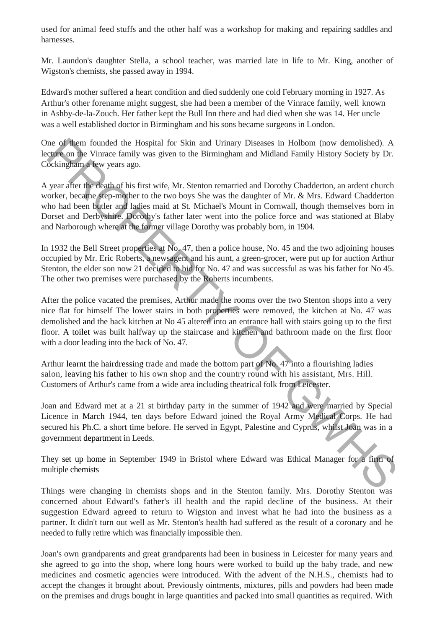used for animal feed stuffs and the other half was a workshop for making and repairing saddles and harnesses.

Mr. Laundon's daughter Stella, a school teacher, was married late in life to Mr. King, another of Wigston's chemists, she passed away in 1994.

Edward's mother suffered a heart condition and died suddenly one cold February morning in 1927. As Arthur's other forename might suggest, she had been a member of the Vinrace family, well known in Ashby-de-la-Zouch. Her father kept the Bull Inn there and had died when she was 14. Her uncle was a well established doctor in Birmingham and his sons became surgeons in London.

One of them founded the Hospital for Skin and Urinary Diseases in Holbom (now demolished). A lecture on the Vinrace family was given to the Birmingham and Midland Family History Society by Dr. Cockingham a few years ago.

A year after the death of his first wife, Mr. Stenton remarried and Dorothy Chadderton, an ardent church worker, became step-mother to the two boys She was the daughter of Mr. & Mrs. Edward Chadderton who had been butler and ladies maid at St. Michael's Mount in Cornwall, though themselves born in Dorset and Derbyshire. Dorothy's father later went into the police force and was stationed at Blaby and Narborough where at the former village Dorothy was probably born, in 1904.

In 1932 the Bell Street properties at No. 47, then a police house, No. 45 and the two adjoining houses occupied by Mr. Eric Roberts, a newsagent and his aunt, a green-grocer, were put up for auction Arthur Stenton, the elder son now 21 decided to bid for No. 47 and was successful as was his father for No 45. The other two premises were purchased by the Roberts incumbents.

After the police vacated the premises, Arthur made the rooms over the two Stenton shops into a very nice flat for himself The lower stairs in both properties were removed, the kitchen at No. 47 was demolished and the back kitchen at No 45 altered into an entrance hall with stairs going up to the first floor. A toilet was built halfway up the staircase and kitchen and bathroom made on the first floor with a door leading into the back of No. 47. me of them founded the Hospital for Skin and Uriany Diseases in Holbom (now demolished). A<br>clear found found the Hospital for Skin and Uriany Diseases in Holbom (now demolished). A<br>ockinghum a few years ago.<br>year after the

Arthur learnt the hairdressing trade and made the bottom part of No. 47 into a flourishing ladies salon, leaving his father to his own shop and the country round with his assistant, Mrs. Hill. Customers of Arthur's came from a wide area including theatrical folk from Leicester.

Joan and Edward met at a 21 st birthday party in the summer of 1942 and were married by Special Licence in March 1944, ten days before Edward joined the Royal Army Medical Corps. He had secured his Ph.C. a short time before. He served in Egypt, Palestine and Cyprus, whilst Joan was in a government department in Leeds.

They set up home in September 1949 in Bristol where Edward was Ethical Manager for a firm of multiple chemists

Things were changing in chemists shops and in the Stenton family. Mrs. Dorothy Stenton was concerned about Edward's father's ill health and the rapid decline of the business. At their suggestion Edward agreed to return to Wigston and invest what he had into the business as a partner. It didn't turn out well as Mr. Stenton's health had suffered as the result of a coronary and he needed to fully retire which was financially impossible then.

Joan's own grandparents and great grandparents had been in business in Leicester for many years and she agreed to go into the shop, where long hours were worked to build up the baby trade, and new medicines and cosmetic agencies were introduced. With the advent of the N.H.S., chemists had to accept the changes it brought about. Previously ointments, mixtures, pills and powders had been made on the premises and drugs bought in large quantities and packed into small quantities as required. With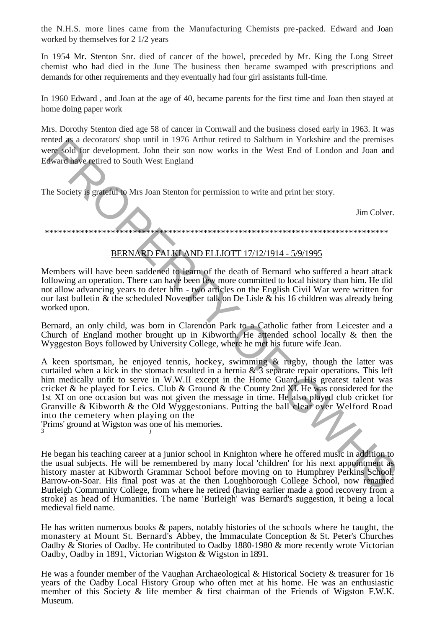the N.H.S. more lines came from the Manufacturing Chemists pre-packed. Edward and Joan worked by themselves for 2 1/2 years

In 1954 Mr. Stenton Snr. died of cancer of the bowel, preceded by Mr. King the Long Street chemist who had died in the June The business then became swamped with prescriptions and demands for other requirements and they eventually had four girl assistants full-time.

In 1960 Edward , and Joan at the age of 40, became parents for the first time and Joan then stayed at home doing paper work

Mrs. Dorothy Stenton died age 58 of cancer in Cornwall and the business closed early in 1963. It was rented as a decorators' shop until in 1976 Arthur retired to Saltburn in Yorkshire and the premises were sold for development. John their son now works in the West End of London and Joan and Edward have retired to South West England

The Society is grateful to Mrs Joan Stenton for permission to write and print her story.

Jim Colver.

\*\*\*\*\*\*\*\*\*\*\*\*\*\*\*\*\*\*\*\*\*\*\*\*\*\*\*\*\*\*\*\*\*\*\*\*\*\*\*\*\*\*\*\*\*\*\*\*\*\*\*\*\*\*\*\*\*\*\*\*\*\*\*\*\*\*\*\*\*\*\*\*\*\*\*\*\*\*

## BERNARD FALKLAND ELLIOTT 17/12/1914 - 5/9/1995

Members will have been saddened to learn of the death of Bernard who suffered a heart attack following an operation. There can have been few more committed to local history than him. He did not allow advancing years to deter him - two articles on the English Civil War were written for our last bulletin & the scheduled November talk on De Lisle & his 16 children was already being worked upon.

Bernard, an only child, was born in Clarendon Park to a Catholic father from Leicester and a Church of England mother brought up in Kibworth. He attended school locally & then the Wyggeston Boys followed by University College, where he met his future wife Jean.

A keen sportsman, he enjoyed tennis, hockey, swimming & rugby, though the latter was curtailed when a kick in the stomach resulted in a hernia  $\&$  3 separate repair operations. This left him medically unfit to serve in W.W.II except in the Home Guard. His greatest talent was cricket & he played for Leics. Club & Ground & the County 2nd XI. He was considered for the 1st XI on one occasion but was not given the message in time. He also played club cricket for Granville & Kibworth & the Old Wyggestonians. Putting the ball clear over Welford Road into the cemetery when playing on the metal as a decorators' shop until in 1976 Arhum retired to Sailburn in Yorkshire and the premises<br>they cold for development. John their son now works in the West End of London and Joan and<br>dward have regired to South West

'Prims' ground at Wigston was one of his memories. 3 *j*

He began his teaching career at a junior school in Knighton where he offered music in addition to the usual subjects. He will be remembered by many local 'children' for his next appointment as history master at Kibworth Grammar School before moving on to Humphrey Perkins School, Barrow-on-Soar. His final post was at the then Loughborough College School, now renamed Burleigh Community College, from where he retired (having earlier made a good recovery from a stroke) as head of Humanities. The name 'Burleigh' was Bernard's suggestion, it being a local medieval field name.

He has written numerous books  $\&$  papers, notably histories of the schools where he taught, the monastery at Mount St. Bernard's Abbey, the Immaculate Conception & St. Peter's Churches Oadby & Stories of Oadby. He contributed to Oadby 1880-1980 & more recently wrote Victorian Oadby, Oadby in 1891, Victorian Wigston & Wigston in 1891.

He was a founder member of the Vaughan Archaeological & Historical Society & treasurer for 16 years of the Oadby Local History Group who often met at his home. He was an enthusiastic member of this Society & life member & first chairman of the Friends of Wigston F.W.K. Museum.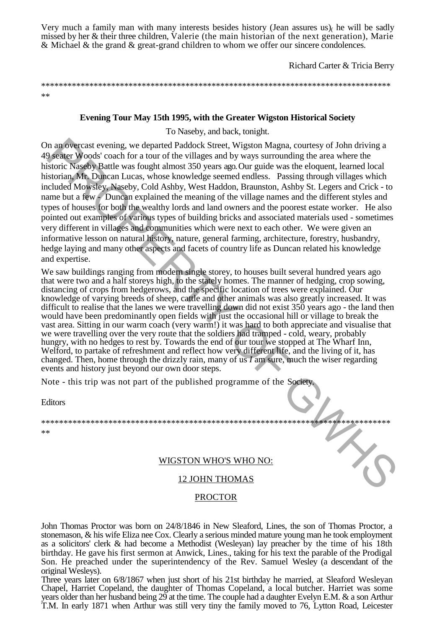Very much a family man with many interests besides history (Jean assures  $us$ ) he will be sadly missed by her & their three children, Valerie (the main historian of the next generation), Marie & Michael & the grand & great-grand children to whom we offer our sincere condolences.

Richard Carter & Tricia Berry

\*\*\*\*\*\*\*\*\*\*\*\*\*\*\*\*\*\*\*\*\*\*\*\*\*\*\*\*\*\*\*\*\*\*\*\*\*\*\*\*\*\*\*\*\*\*\*\*\*\*\*\*\*\*\*\*\*\*\*\*\*\*\*\*\*\*\*\*\*\*\*\*\*\*\*\*\*\*\*\*  $**$ 

### **Evening Tour May 15th 1995, with the Greater Wigston Historical Society**

To Naseby, and back, tonight.

On an overcast evening, we departed Paddock Street, Wigston Magna, courtesy of John driving a 49 seater Woods' coach for a tour of the villages and by ways surrounding the area where the historic Naseby Battle was fought almost 350 years ago. Our guide was the eloquent, learned local historian, Mr. Duncan Lucas, whose knowledge seemed endless. Passing through villages which included Mowsley, Naseby, Cold Ashby, West Haddon, Braunston, Ashby St. Legers and Crick - to name but a few - Duncan explained the meaning of the village names and the different styles and types of houses for both the wealthy lords and land owners and the poorest estate worker. He also pointed out examples of various types of building bricks and associated materials used - sometimes very different in villages and communities which were next to each other. We were given an informative lesson on natural history, nature, general farming, architecture, forestry, husbandry, hedge laying and many other aspects and facets of country life as Duncan related his knowledge and expertise. In an overcast evening, we departed Paddock Street, Wigston Magna, courtesy of John driving a<br>
9 sears Woods' coash for a toru of the villages and by way surrounding the area where the<br>
disories Nashi Draw and Law stop for

We saw buildings ranging from modern single storey, to houses built several hundred years ago that were two and a half storeys high, to the stately homes. The manner of hedging, crop sowing, distancing of crops from hedgerows, and the specific location of trees were explained. Our knowledge of varying breeds of sheep, cattle and other animals was also greatly increased. It was difficult to realise that the lanes we were travelling down did not exist 350 years ago - the land then would have been predominantly open fields with just the occasional hill or village to break the vast area. Sitting in our warm coach (very warm!) it was hard to both appreciate and visualise that we were travelling over the very route that the soldiers had tramped - cold, weary, probably hungry, with no hedges to rest by. Towards the end of our tour we stopped at The Wharf Inn, Welford, to partake of refreshment and reflect how very different life, and the living of it, has changed. Then, home through the drizzly rain, many of us *I* am sure, much the wiser regarding events and history just beyond our own door steps.

Note - this trip was not part of the published programme of the Society.

Editors

\*\*\*\*\*\*\*\*\*\*\*\*\*\*\*\*\*\*\*\*\*\*\*\*\*\*\*\*\*\*\*\*\*\*\*\*\*\*\*\*\*\*\*\*\*\*\*\*\*\*\*\*\*\*\*\*\*\*\*\*\*\*\*\*\*\*\*\*\*\*\*\*\*\*\*\*\*\* \*\*

## WIGSTON WHO'S WHO NO:

## 12 JOHN THOMAS

## PROCTOR

John Thomas Proctor was born on 24/8/1846 in New Sleaford, Lines, the son of Thomas Proctor, a stonemason, & his wife Eliza nee Cox. Clearly a serious minded mature young man he took employment as a solicitors' clerk & had become a Methodist (Wesleyan) lay preacher by the time of his 18th birthday. He gave his first sermon at Anwick, Lines., taking for his text the parable of the Prodigal Son. He preached under the superintendency of the Rev. Samuel Wesley (a descendant of the original Wesleys).

Three years later on 6/8/1867 when just short of his 21st birthday he married, at Sleaford Wesleyan Chapel, Harriet Copeland, the daughter of Thomas Copeland, a local butcher. Harriet was some years older than her husband being 29 at the time. The couple had a daughter Evelyn E.M. & a son Arthur T.M. In early 1871 when Arthur was still very tiny the family moved to 76, Lytton Road, Leicester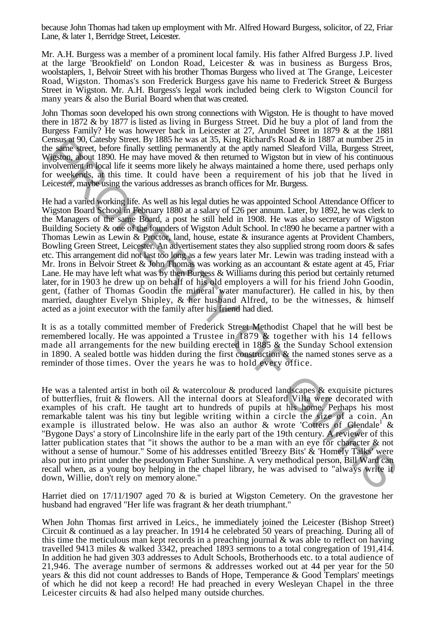because John Thomas had taken up employment with Mr. Alfred Howard Burgess, solicitor, of 22, Friar Lane, & later 1, Berridge Street, Leicester.

Mr. A.H. Burgess was a member of a prominent local family. His father Alfred Burgess J.P. lived at the large 'Brookfield' on London Road, Leicester & was in business as Burgess Bros, woolstaplers, 1, Belvoir Street with his brother Thomas Burgess who lived at The Grange, Leicester Road, Wigston. Thomas's son Frederick Burgess gave his name to Frederick Street & Burgess Street in Wigston. Mr. A.H. Burgess's legal work included being clerk to Wigston Council for many years & also the Burial Board when that was created.

John Thomas soon developed his own strong connections with Wigston. He is thought to have moved there in 1872 & by 1877 is listed as living in Burgess Street. Did he buy a plot of land from the Burgess Family? He was however back in Leicester at 27, Arundel Street in 1879 & at the 1881 Census at 90, Catesby Street. By 1885 he was at 35, King Richard's Road & in 1887 at number 25 in the same street, before finally settling permanently at the aptly named Sleaford Villa, Burgess Street, Wigston, about 1890. He may have moved & then returned to Wigston but in view of his continuous involvement in local life it seems more likely he always maintained a home there, used perhaps only for weekends, at this time. It could have been a requirement of his job that he lived in Leicester, maybe using the various addresses as branch offices for Mr. Burgess.

He had a varied working life. As well as his legal duties he was appointed School Attendance Officer to Wigston Board School in February 1880 at a salary of £26 per annum. Later, by 1892, he was clerk to the Managers of the same Board, a post he still held in 1908. He was also secretary of Wigston Building Society & one of the founders of Wigston Adult School. In c!890 he became a partner with a Thomas Lewin as Lewin & Proctor, land, house, estate & insurance agents at Provident Chambers, Bowling Green Street, Leicester. An advertisement states they also supplied strong room doors & safes etc. This arrangement did not last too long as a few years later Mr. Lewin was trading instead with a Mr. Irons in Belvoir Street & John Thomas was working as an accountant & estate agent at 45, Friar Lane. He may have left what was by then Burgess & Williams during this period but certainly returned later, for in 1903 he drew up on behalf of his old employers a will for his friend John Goodin, gent, (father of Thomas Goodin the mineral water manufacturer). He called in his, by then married, daughter Evelyn Shipley, & her husband Alfred, to be the witnesses, & himself acted as a joint executor with the family after his friend had died. ensure and the state spent of the state system. The periodis for the state of a like system and the state system, and the system and the system of this continuous comparison of the system in the system of the system of the

It is as a totally committed member of Frederick Street Methodist Chapel that he will best be remembered locally. He was appointed a Trustee in 1879 & together with his 14 fellows made all arrangements for the new building erected in 1885  $&$  the Sunday School extension in 1890. A sealed bottle was hidden during the first construction  $\&$  the named stones serve as a reminder of those times. Over the years he was to hold every office.

He was a talented artist in both oil & watercolour & produced landscapes & exquisite pictures of butterflies, fruit & flowers. All the internal doors at Sleaford Villa were decorated with examples of his craft. He taught art to hundreds of pupils at his home. Perhaps his most remarkable talent was his tiny but legible writing within a circle the size of a coin. An example is illustrated below. He was also an author  $\&$  wrote 'Cotters of Glendale<sup>1</sup>  $\&$ "Bygone Days' a story of Lincolnshire life in the early part of the 19th century. A reviewer of this latter publication states that "it shows the author to be a man with an eye for character & not without a sense of humour." Some of his addresses entitled 'Breezy Bits' & 'Homely Talks' were also put into print under the pseudonym Father Sunshine. A very methodical person, Bill Ward can recall when, as a young boy helping in the chapel library, he was advised to "always write it down, Willie, don't rely on memory alone."

Harriet died on 17/11/1907 aged 70 & is buried at Wigston Cemetery. On the gravestone her husband had engraved "Her life was fragrant & her death triumphant."

When John Thomas first arrived in Leics., he immediately joined the Leicester (Bishop Street) Circuit & continued as a lay preacher. In 1914 he celebrated 50 years of preaching. During all of this time the meticulous man kept records in a preaching journal & was able to reflect on having travelled 9413 miles & walked 3342, preached 1893 sermons to a total congregation of 191,414. In addition he had given 303 addresses to Adult Schools, Brotherhoods etc. to a total audience of 21,946. The average number of sermons & addresses worked out at 44 per year for the 50 years & this did not count addresses to Bands of Hope, Temperance & Good Templars' meetings of which he did not keep a record! He had preached in every Wesleyan Chapel in the three Leicester circuits & had also helped many outside churches.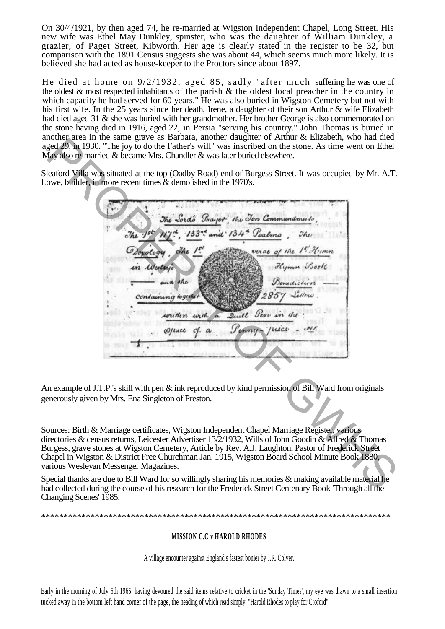On 30/4/1921, by then aged 74, he re-married at Wigston Independent Chapel, Long Street. His new wife was Ethel May Dunkley, spinster, who was the daughter of William Dunkley, a grazier, of Paget Street, Kibworth. Her age is clearly stated in the register to be 32, but comparison with the 1891 Census suggests she was about 44, which seems much more likely. It is believed she had acted as house-keeper to the Proctors since about 1897.

He died at home on  $9/2/1932$ , aged 85, sadly "after much suffering he was one of the oldest & most respected inhabitants of the parish & the oldest local preacher in the country in which capacity he had served for 60 years." He was also buried in Wigston Cemetery but not with his first wife. In the 25 years since her death, Irene, a daughter of their son Arthur & wife Elizabeth had died aged 31 & she was buried with her grandmother. Her brother George is also commemorated on the stone having died in 1916, aged 22, in Persia "serving his country." John Thomas is buried in another area in the same grave as Barbara, another daughter of Arthur & Elizabeth, who had died aged 29, in 1930. "The joy to do the Father's will" was inscribed on the stone. As time went on Ethel May also re-married & became Mrs. Chandler & was later buried elsewhere.

Sleaford Villa was situated at the top (Oadby Road) end of Burgess Street. It was occupied by Mr. A.T. Lowe, builder, in more recent times  $\&$  demolished in the 1970's.

Except the Vi of the Palmark and the Summarized of the Summarized Control of the Summarized Control of the Summarized Control of the Summarized Control of the Summarized Control of the Summarized Control of the Summarized

An example of J.T.P.'s skill with pen & ink reproduced by kind permission of Bill Ward from originals generously given by Mrs. Ena Singleton of Preston.

Sources: Birth & Marriage certificates, Wigston Independent Chapel Marriage Register, various directories & census returns, Leicester Advertiser 13/2/1932, Wills of John Goodin & Alfred & Thomas Burgess, grave stones at Wigston Cemetery, Article by Rev. A.J. Laughton, Pastor of Frederick Street Chapel in Wigston & District Free Churchman Jan. 1915, Wigston Board School Minute Book 1880, various Wesleyan Messenger Magazines.

Special thanks are due to Bill Ward for so willingly sharing his memories & making available material he had collected during the course of his research for the Frederick Street Centenary Book 'Through all the Changing Scenes' 1985.

\*\*\*\*\*\*\*\*\*\*\*\*\*\*\*\*\*\*\*\*\*\*\*\*\*\*\*\*\*\*\*\*\*\*\*\*\*\*\*\*\*\*\*\*\*\*\*\*\*\*\*\*\*\*\*\*\*\*\*\*\*\*\*\*\*\*\*\*\*\*\*\*\*\*\*\*\*\*

#### **MISSION C.C v HAROLD RHODES**

A village encounter against England s fastest bonier by J.R. Colver.

Early in the morning of July 5th 1965, having devoured the said items relative to cricket in the 'Sunday Times', my eye was drawn to a small insertion tucked away in the bottom left hand corner of the page, the heading of which read simply, "Harold Rhodes to play for Croford".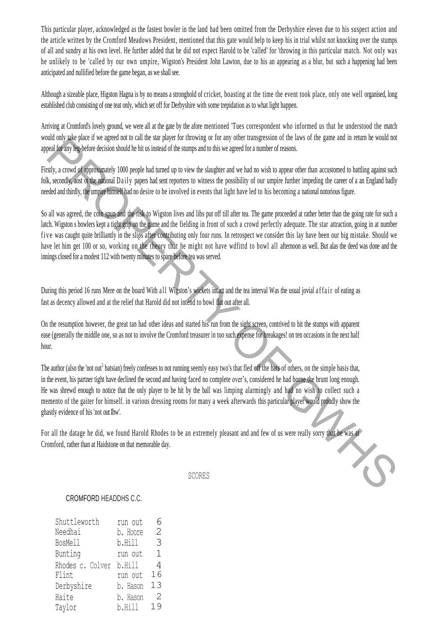This particular player, acknowledged as the fastest bowler in the land had been omitted from the Derbyshire eleven due to his suspect action and the article written by the Cromford Meadows President, mentioned that this gate would help to keep his in trial whilst not knocking over the stumps of all and sundry at his own level. He further added that he did not expect Harold to be 'called' for 'throwing in this particular match. Not only was he unlikely to be 'called by our own umpire, Wigston's President John Lawton, due to his an appearing as a blur, but such a happening had been anticipated and nullified before the game began, as we shall see.

Although a sizeable place, Higston Hagna is by no means a stronghold of cricket, boasting at the time the event took place, only one well organised, long established club consisting of one teat only, which set off for Derbyshire with some trepidation as to what light happen.

Arriving at Cromford's lovely ground, we were all at the gate by the afore mentioned 'Tues correspondent who informed us that he understood the match would only take place if we agreed not to call the star player for throwing or for any other transgression of the laws of the game and in return he would not appeal for any leg-before decision should he hit us instead of the stumps and to this we agreed for a number of reasons.

Firstly, a crowd of approximately 1000 people had turned up to view the slaughter and we had no wish to appear other than accustomed to battling against such folk, secondly, aost ot the national Daily papers had sent reporters to witness the possibility of our umpire further impeding the career of a an England badly needed and thirdly, the umpire himself had no desire to be involved in events that light have led to his becoming a national notorious figure.

So all was agreed, the coin spun and the risk to Wigston lives and libs put off till after tea. The game proceeded at rather better than the going rate for such a latch. Wigston s bowlers kept a tight grip on the game and the fielding in front of such a crowd perfectly adequate. The star attraction, going in at number five was caught quite brilliantly in the slips after contributing only four runs. In retrospect we consider this lay have been our big mistake. Should we have let him get 100 or so, working on the theory that he might not have wdfittd to bowl all afternoon as well. But alas the deed was done and the innings closed for a modest 112 with twenty minutes to spare before tea was served. and so the comparison to the column and provide the method of the summates of the summates of the summates of the summates of the summates of the summates of the summates of the summates of the summates of the summates of

During this period 16 runs Mere on the board With all Wigston's wickets intact and the tea interval Was the usual jovial a f f a i r of eating as fast as decency allowed and at the relief that Harold did not intend to bowl flat out after all.

On the resumption however, the great tan had other ideas and started his run from the sight screen, contrived to hit the stumps with apparent ease (generally the middle one, so as not to involve the Cromford treasurer in too such expense for breakages! on ten occasions in the next half hour.

The author (also the 'not out<sup>1</sup> batsian) freely confesses to not running seemly easy two's that fled off the bats of others, on the simple basis that, in the event, his partner tight have declined the second and having faced no complete over's, considered he had borne the brunt long enough. He was shrewd enough to notice that the only player to be hit by the ball was limping alarmingly and had no wish to collect such a memento of the gaiter for himself. in various dressing rooms for many a week afterwards this particular player would proudly show the ghastly evidence of his 'not out Ibw'.

For all the datage he did, we found Harold Rhodes to be an extremely pleasant and and few of us were really sorry that he was at Cromford, rather than at Haidstone on that memorable day.

SCORES

#### CROMFORD HEADDHS C.C.

| Shuttleworth            | run out  | 6  |
|-------------------------|----------|----|
| Needhai                 | b. Hoore | 2  |
| BosMell                 | b.Hill   | 3  |
| Bunting                 | run out  | 1  |
| Rhodes c. Colver b.Hill |          | 4  |
| Flint                   | run out  | 16 |
| Derbyshire              | b. Hason | 13 |
| Haite                   | b. Hason | 2  |
| Taylor                  | b.Hill   | 19 |